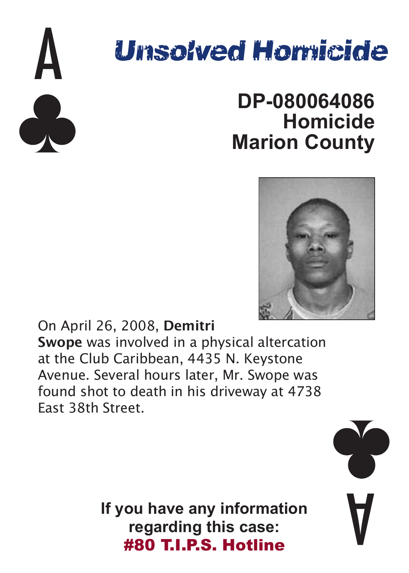

### **DP-080064086 Homicide Marion County**



On April 26, 2008, **Demitri Swope** was involved in a physical altercation at the Club Caribbean, 4435 N. Keystone Avenue. Several hours later, Mr. Swope was found shot to death in his driveway at 4738 East 38th Street.

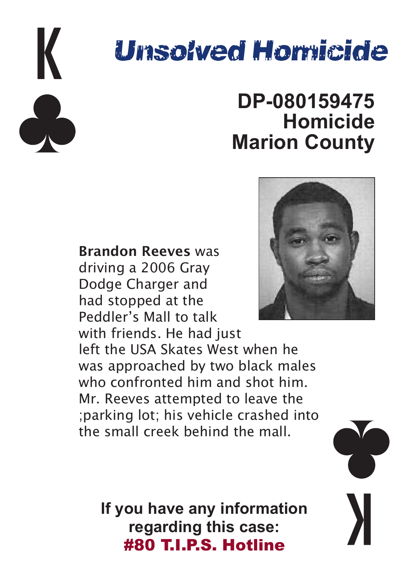

### **DP-080159475 Homicide Marion County**



left the USA Skates West when he was approached by two black males who confronted him and shot him. Mr. Reeves attempted to leave the ;parking lot; his vehicle crashed into the small creek behind the mall.

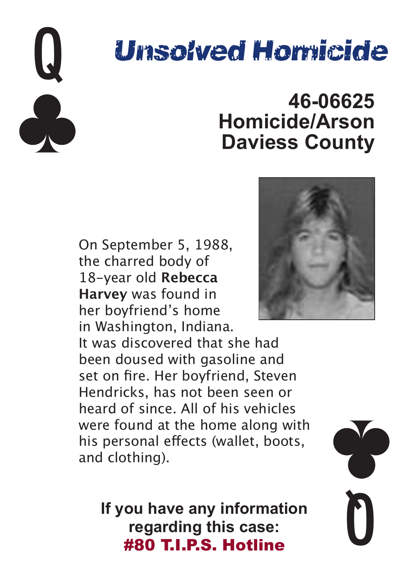

### **46-06625 Homicide/Arson Daviess County**

On September 5, 1988, the charred body of 18-year old **Rebecca Harvey** was found in her boyfriend's home in Washington, Indiana.

It was discovered that she had been doused with gasoline and set on fire. Her boyfriend, Steven Hendricks, has not been seen or heard of since. All of his vehicles were found at the home along with his personal effects (wallet, boots, and clothing).



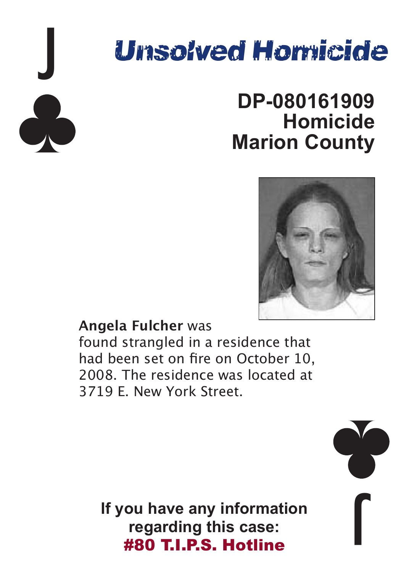

### **DP-080161909 Homicide Marion County**



**Angela Fulcher** was

found strangled in a residence that had been set on fire on October 10, 2008. The residence was located at 3719 E. New York Street.

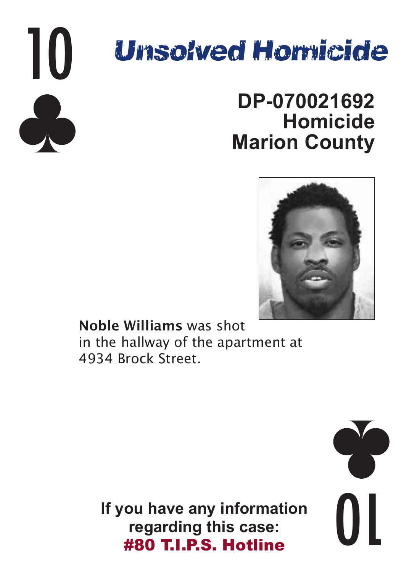

### **DP-070021692 Homicide Marion County**



**Noble Williams** was shot in the hallway of the apartment at 4934 Brock Street.

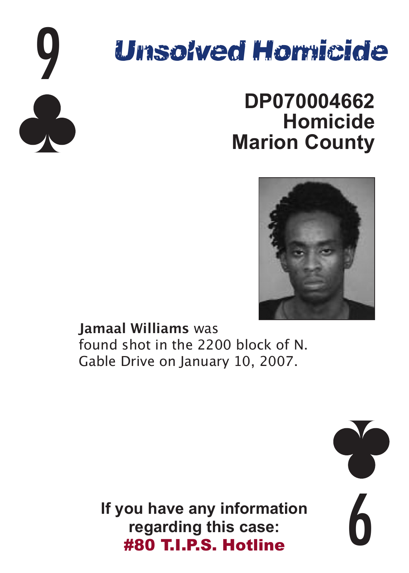

### **DP070004662 Homicide Marion County**



**Jamaal Williams** was found shot in the 2200 block of N. Gable Drive on January 10, 2007.

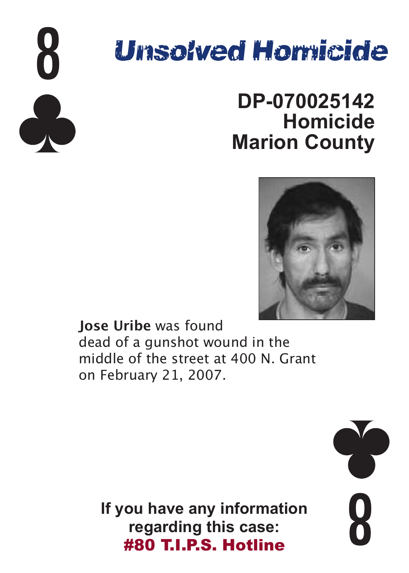

### **DP-070025142 Homicide Marion County**



**Jose Uribe** was found dead of a gunshot wound in the middle of the street at 400 N. Grant on February 21, 2007.

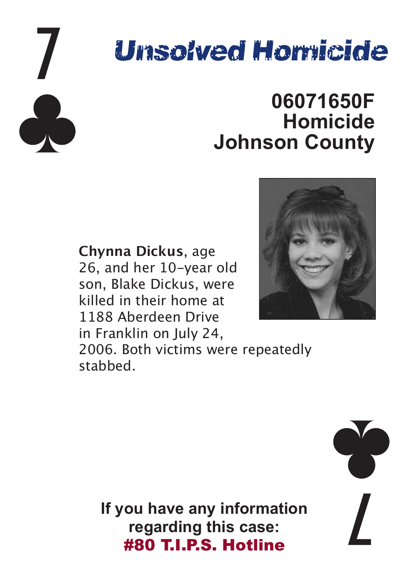

### **06071650F Homicide Johnson County**

**Chynna Dickus**, age 26, and her 10-year old son, Blake Dickus, were killed in their home at 1188 Aberdeen Drive in Franklin on July 24. 2006. Both victims were repeatedly stabbed.



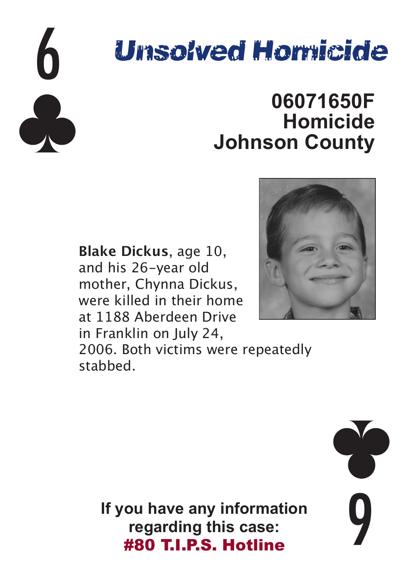

### **06071650F Homicide Johnson County**

**Blake Dickus**, age 10, and his 26-year old mother, Chynna Dickus, were killed in their home at 1188 Aberdeen Drive in Franklin on July 24, 2006. Both victims were repeatedly stabbed.



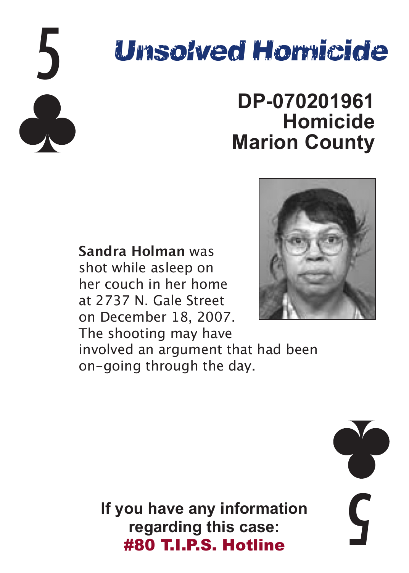

### **DP-070201961 Homicide Marion County**

**Sandra Holman** was shot while asleep on her couch in her home at 2737 N. Gale Street on December 18, 2007. The shooting may have involved an argument that had been on-going through the day.



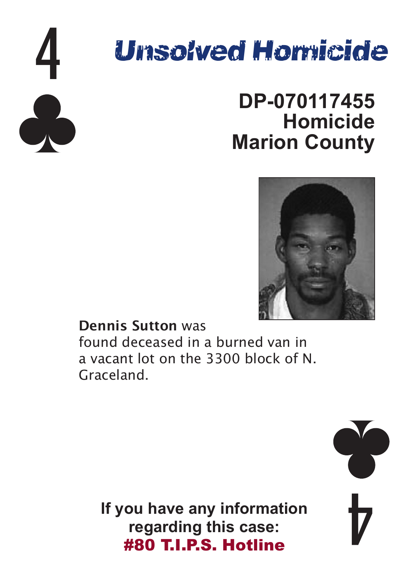

### **DP-070117455 Homicide Marion County**



**Dennis Sutton** was found deceased in a burned van in a vacant lot on the 3300 block of N. Graceland.

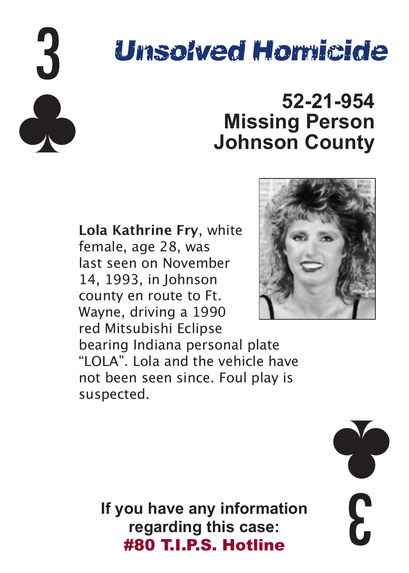

### **52-21-954 Missing Person Johnson County**

**Lola Kathrine Fry**, white female, age 28, was last seen on November 14, 1993, in Johnson county en route to Ft. Wayne, driving a 1990 red Mitsubishi Eclipse



bearing Indiana personal plate "LOLA". Lola and the vehicle have not been seen since. Foul play is suspected.